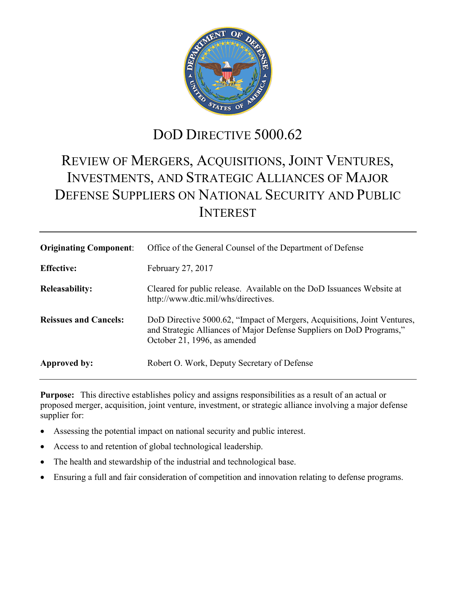

## DOD DIRECTIVE 5000.62

# REVIEW OF MERGERS, ACQUISITIONS, JOINT VENTURES, INVESTMENTS, AND STRATEGIC ALLIANCES OF MAJOR DEFENSE SUPPLIERS ON NATIONAL SECURITY AND PUBLIC INTEREST

| <b>Originating Component:</b> | Office of the General Counsel of the Department of Defense                                                                                                                       |
|-------------------------------|----------------------------------------------------------------------------------------------------------------------------------------------------------------------------------|
| <b>Effective:</b>             | February 27, 2017                                                                                                                                                                |
| <b>Releasability:</b>         | Cleared for public release. Available on the DoD Issuances Website at<br>http://www.dtic.mil/whs/directives.                                                                     |
| <b>Reissues and Cancels:</b>  | DoD Directive 5000.62, "Impact of Mergers, Acquisitions, Joint Ventures,<br>and Strategic Alliances of Major Defense Suppliers on DoD Programs,"<br>October 21, 1996, as amended |
| Approved by:                  | Robert O. Work, Deputy Secretary of Defense                                                                                                                                      |

**Purpose:** This directive establishes policy and assigns responsibilities as a result of an actual or proposed merger, acquisition, joint venture, investment, or strategic alliance involving a major defense supplier for:

- Assessing the potential impact on national security and public interest.
- Access to and retention of global technological leadership.
- The health and stewardship of the industrial and technological base.
- Ensuring a full and fair consideration of competition and innovation relating to defense programs.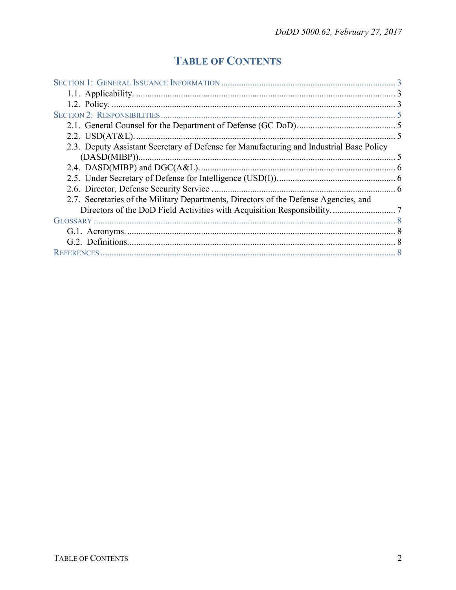## **TABLE OF CONTENTS**

| 2.3. Deputy Assistant Secretary of Defense for Manufacturing and Industrial Base Policy |  |  |
|-----------------------------------------------------------------------------------------|--|--|
|                                                                                         |  |  |
|                                                                                         |  |  |
|                                                                                         |  |  |
|                                                                                         |  |  |
| 2.7. Secretaries of the Military Departments, Directors of the Defense Agencies, and    |  |  |
|                                                                                         |  |  |
|                                                                                         |  |  |
|                                                                                         |  |  |
|                                                                                         |  |  |
| <b>REFERENCES</b>                                                                       |  |  |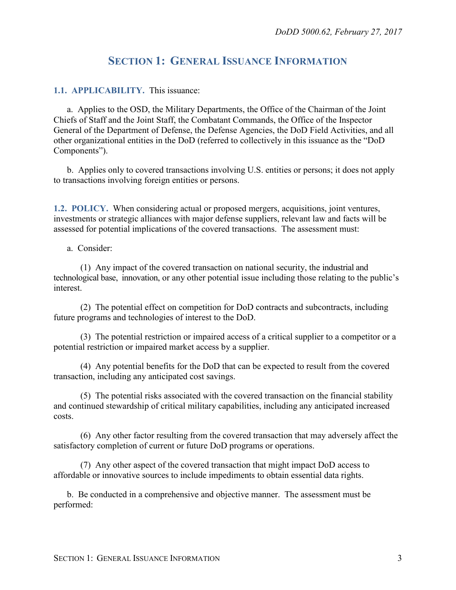## **SECTION 1: GENERAL ISSUANCE INFORMATION**

#### <span id="page-2-1"></span><span id="page-2-0"></span>**1.1. APPLICABILITY.** This issuance:

a. Applies to the OSD, the Military Departments, the Office of the Chairman of the Joint Chiefs of Staff and the Joint Staff, the Combatant Commands, the Office of the Inspector General of the Department of Defense, the Defense Agencies, the DoD Field Activities, and all other organizational entities in the DoD (referred to collectively in this issuance as the "DoD Components").

b. Applies only to covered transactions involving U.S. entities or persons; it does not apply to transactions involving foreign entities or persons.

<span id="page-2-2"></span>**1.2. POLICY.** When considering actual or proposed mergers, acquisitions, joint ventures, investments or strategic alliances with major defense suppliers, relevant law and facts will be assessed for potential implications of the covered transactions. The assessment must:

#### a. Consider:

(1) Any impact of the covered transaction on national security, the industrial and technological base, innovation, or any other potential issue including those relating to the public's interest.

(2) The potential effect on competition for DoD contracts and subcontracts, including future programs and technologies of interest to the DoD.

(3) The potential restriction or impaired access of a critical supplier to a competitor or a potential restriction or impaired market access by a supplier.

(4) Any potential benefits for the DoD that can be expected to result from the covered transaction, including any anticipated cost savings.

(5) The potential risks associated with the covered transaction on the financial stability and continued stewardship of critical military capabilities, including any anticipated increased costs.

(6) Any other factor resulting from the covered transaction that may adversely affect the satisfactory completion of current or future DoD programs or operations.

(7) Any other aspect of the covered transaction that might impact DoD access to affordable or innovative sources to include impediments to obtain essential data rights.

b. Be conducted in a comprehensive and objective manner. The assessment must be performed: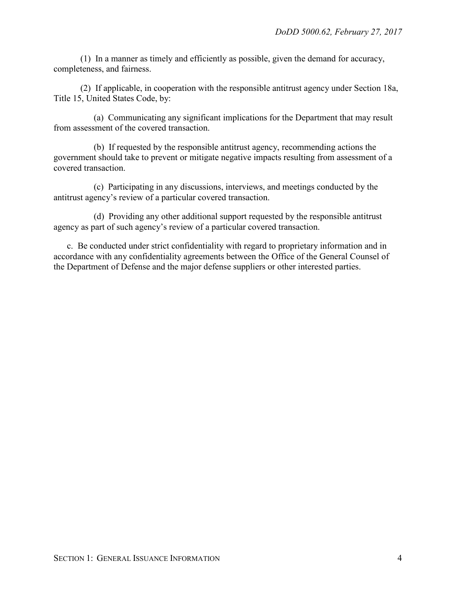(1) In a manner as timely and efficiently as possible, given the demand for accuracy, completeness, and fairness.

(2) If applicable, in cooperation with the responsible antitrust agency under Section 18a, Title 15, United States Code, by:

(a) Communicating any significant implications for the Department that may result from assessment of the covered transaction.

(b) If requested by the responsible antitrust agency, recommending actions the government should take to prevent or mitigate negative impacts resulting from assessment of a covered transaction.

(c) Participating in any discussions, interviews, and meetings conducted by the antitrust agency's review of a particular covered transaction.

(d) Providing any other additional support requested by the responsible antitrust agency as part of such agency's review of a particular covered transaction.

c. Be conducted under strict confidentiality with regard to proprietary information and in accordance with any confidentiality agreements between the Office of the General Counsel of the Department of Defense and the major defense suppliers or other interested parties.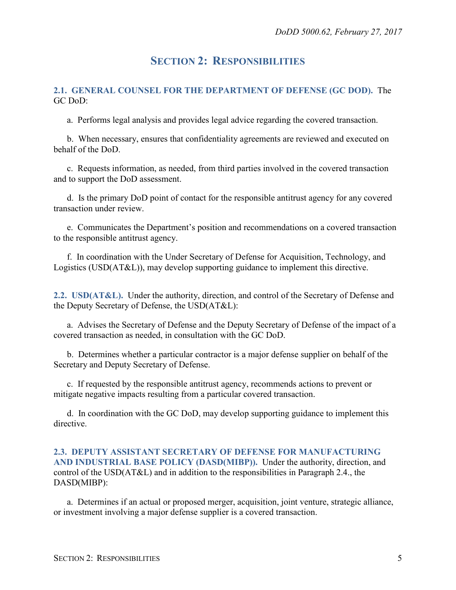### **SECTION 2: RESPONSIBILITIES**

#### <span id="page-4-1"></span><span id="page-4-0"></span>**2.1. GENERAL COUNSEL FOR THE DEPARTMENT OF DEFENSE (GC DOD).** The GC DoD:

a. Performs legal analysis and provides legal advice regarding the covered transaction.

b. When necessary, ensures that confidentiality agreements are reviewed and executed on behalf of the DoD.

c. Requests information, as needed, from third parties involved in the covered transaction and to support the DoD assessment.

d. Is the primary DoD point of contact for the responsible antitrust agency for any covered transaction under review.

e. Communicates the Department's position and recommendations on a covered transaction to the responsible antitrust agency.

f. In coordination with the Under Secretary of Defense for Acquisition, Technology, and Logistics (USD(AT&L)), may develop supporting guidance to implement this directive.

<span id="page-4-2"></span>**2.2. USD(AT&L).** Under the authority, direction, and control of the Secretary of Defense and the Deputy Secretary of Defense, the USD(AT&L):

a. Advises the Secretary of Defense and the Deputy Secretary of Defense of the impact of a covered transaction as needed, in consultation with the GC DoD.

b. Determines whether a particular contractor is a major defense supplier on behalf of the Secretary and Deputy Secretary of Defense.

c. If requested by the responsible antitrust agency, recommends actions to prevent or mitigate negative impacts resulting from a particular covered transaction.

d. In coordination with the GC DoD, may develop supporting guidance to implement this directive.

#### <span id="page-4-3"></span>**2.3. DEPUTY ASSISTANT SECRETARY OF DEFENSE FOR MANUFACTURING AND INDUSTRIAL BASE POLICY (DASD(MIBP)).** Under the authority, direction, and control of the USD(AT&L) and in addition to the responsibilities in Paragraph 2.4., the DASD(MIBP):

a. Determines if an actual or proposed merger, acquisition, joint venture, strategic alliance, or investment involving a major defense supplier is a covered transaction.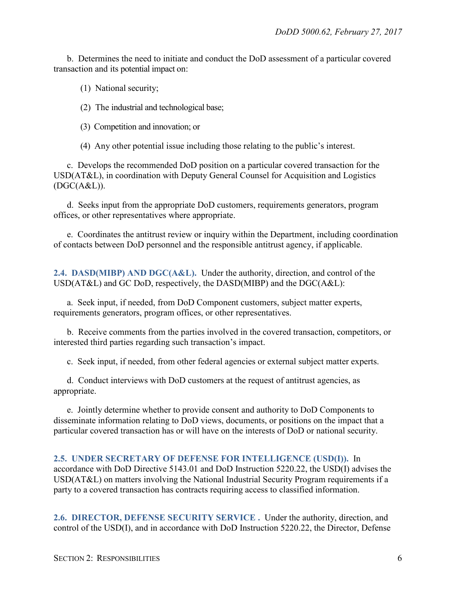b. Determines the need to initiate and conduct the DoD assessment of a particular covered transaction and its potential impact on:

- (1) National security;
- (2) The industrial and technological base;
- (3) Competition and innovation; or

(4) Any other potential issue including those relating to the public's interest.

c. Develops the recommended DoD position on a particular covered transaction for the USD(AT&L), in coordination with Deputy General Counsel for Acquisition and Logistics  $(DGC(A&L)).$ 

d. Seeks input from the appropriate DoD customers, requirements generators, program offices, or other representatives where appropriate.

e. Coordinates the antitrust review or inquiry within the Department, including coordination of contacts between DoD personnel and the responsible antitrust agency, if applicable.

<span id="page-5-0"></span>**2.4. DASD(MIBP) AND DGC(A&L).** Under the authority, direction, and control of the USD(AT&L) and GC DoD, respectively, the DASD(MIBP) and the DGC(A&L):

a. Seek input, if needed, from DoD Component customers, subject matter experts, requirements generators, program offices, or other representatives.

b. Receive comments from the parties involved in the covered transaction, competitors, or interested third parties regarding such transaction's impact.

c. Seek input, if needed, from other federal agencies or external subject matter experts.

d. Conduct interviews with DoD customers at the request of antitrust agencies, as appropriate.

e. Jointly determine whether to provide consent and authority to DoD Components to disseminate information relating to DoD views, documents, or positions on the impact that a particular covered transaction has or will have on the interests of DoD or national security.

<span id="page-5-1"></span>**2.5. UNDER SECRETARY OF DEFENSE FOR INTELLIGENCE (USD(I)).** In accordance with DoD Directive 5143.01 and DoD Instruction 5220.22, the USD(I) advises the USD(AT&L) on matters involving the National Industrial Security Program requirements if a party to a covered transaction has contracts requiring access to classified information.

<span id="page-5-2"></span>**2.6. DIRECTOR, DEFENSE SECURITY SERVICE .** Under the authority, direction, and control of the USD(I), and in accordance with DoD Instruction 5220.22, the Director, Defense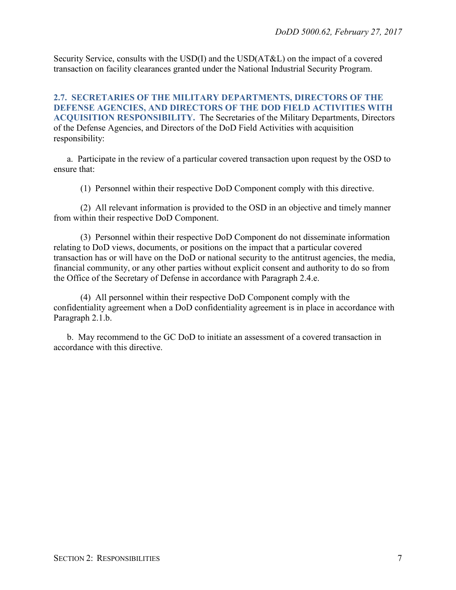Security Service, consults with the USD(I) and the USD(AT&L) on the impact of a covered transaction on facility clearances granted under the National Industrial Security Program.

<span id="page-6-0"></span>**2.7. SECRETARIES OF THE MILITARY DEPARTMENTS, DIRECTORS OF THE DEFENSE AGENCIES, AND DIRECTORS OF THE DOD FIELD ACTIVITIES WITH ACQUISITION RESPONSIBILITY.** The Secretaries of the Military Departments, Directors of the Defense Agencies, and Directors of the DoD Field Activities with acquisition responsibility:

a. Participate in the review of a particular covered transaction upon request by the OSD to ensure that:

(1) Personnel within their respective DoD Component comply with this directive.

(2) All relevant information is provided to the OSD in an objective and timely manner from within their respective DoD Component.

(3) Personnel within their respective DoD Component do not disseminate information relating to DoD views, documents, or positions on the impact that a particular covered transaction has or will have on the DoD or national security to the antitrust agencies, the media, financial community, or any other parties without explicit consent and authority to do so from the Office of the Secretary of Defense in accordance with Paragraph 2.4.e.

(4) All personnel within their respective DoD Component comply with the confidentiality agreement when a DoD confidentiality agreement is in place in accordance with Paragraph 2.1.b.

b. May recommend to the GC DoD to initiate an assessment of a covered transaction in accordance with this directive.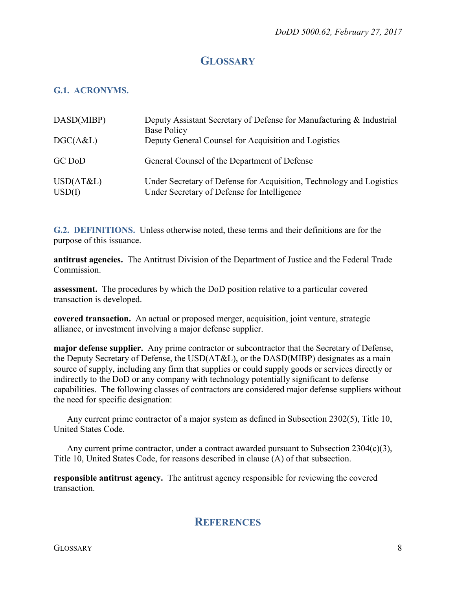## **GLOSSARY**

### <span id="page-7-1"></span><span id="page-7-0"></span>**G.1. ACRONYMS.**

| DASD(MIBP)          | Deputy Assistant Secretary of Defense for Manufacturing & Industrial<br>Base Policy                                 |
|---------------------|---------------------------------------------------------------------------------------------------------------------|
| DGC(A&L)            | Deputy General Counsel for Acquisition and Logistics                                                                |
| GC DoD              | General Counsel of the Department of Defense                                                                        |
| USD(AT&L)<br>USD(I) | Under Secretary of Defense for Acquisition, Technology and Logistics<br>Under Secretary of Defense for Intelligence |

<span id="page-7-2"></span>**G.2. DEFINITIONS.** Unless otherwise noted, these terms and their definitions are for the purpose of this issuance.

**antitrust agencies.** The Antitrust Division of the Department of Justice and the Federal Trade Commission.

**assessment.** The procedures by which the DoD position relative to a particular covered transaction is developed.

**covered transaction.** An actual or proposed merger, acquisition, joint venture, strategic alliance, or investment involving a major defense supplier.

**major defense supplier.** Any prime contractor or subcontractor that the Secretary of Defense, the Deputy Secretary of Defense, the USD(AT&L), or the DASD(MIBP) designates as a main source of supply, including any firm that supplies or could supply goods or services directly or indirectly to the DoD or any company with technology potentially significant to defense capabilities. The following classes of contractors are considered major defense suppliers without the need for specific designation:

Any current prime contractor of a major system as defined in Subsection 2302(5), Title 10, United States Code.

Any current prime contractor, under a contract awarded pursuant to Subsection  $2304(c)(3)$ , Title 10, United States Code, for reasons described in clause (A) of that subsection.

<span id="page-7-3"></span>**responsible antitrust agency.** The antitrust agency responsible for reviewing the covered transaction.

### **REFERENCES**